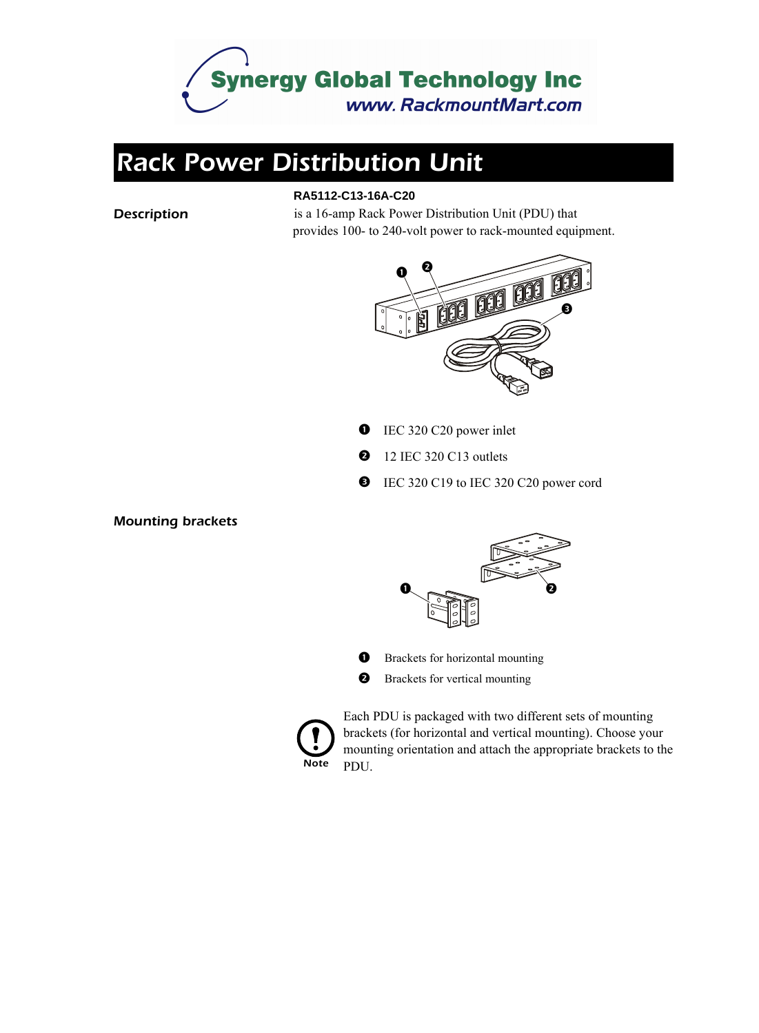

## *Rack Power Distribution Unit*

#### **RA5112-C13-16A-C20**

**Description** is a 16-amp Rack Power Distribution Unit (PDU) that provides 100- to 240-volt power to rack-mounted equipment.



- **IEC 320 C20 power inlet**
- **2** 12 IEC 320 C13 outlets
- EC 320 C19 to IEC 320 C20 power cord

*Mounting brackets*



- **O** Brackets for horizontal mounting
- $\boldsymbol{\Theta}$ Brackets for vertical mounting



Each PDU is packaged with two different sets of mounting brackets (for horizontal and vertical mounting). Choose your mounting orientation and attach the appropriate brackets to the PDU.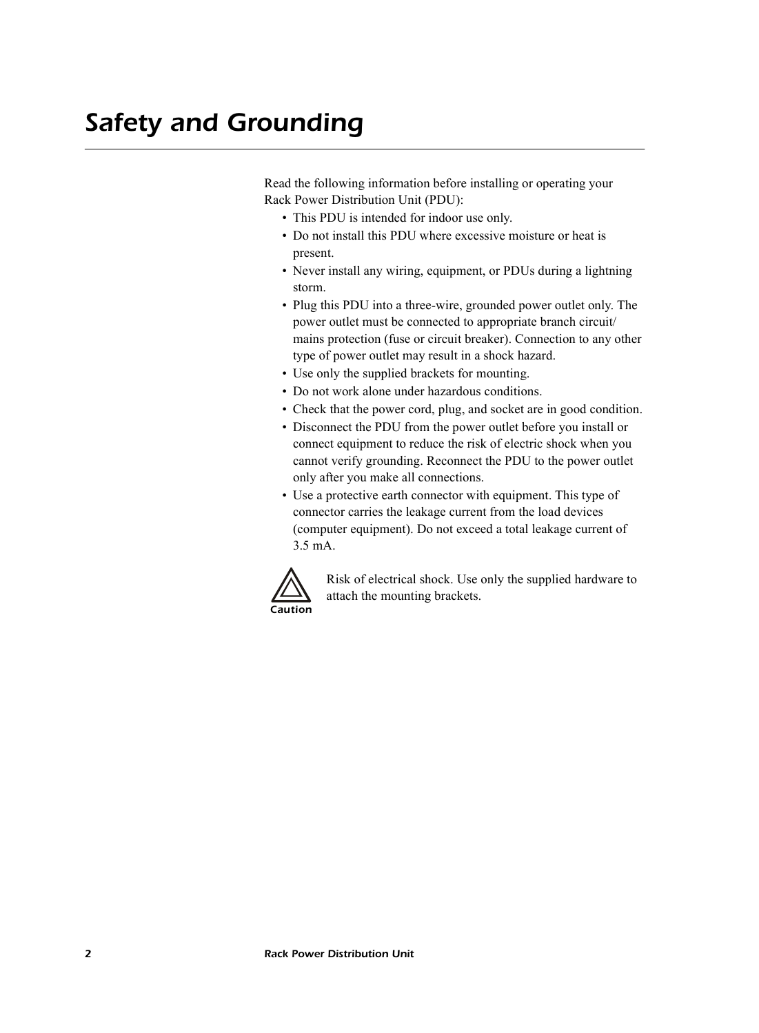Read the following information before installing or operating your Rack Power Distribution Unit (PDU):

- This PDU is intended for indoor use only.
- Do not install this PDU where excessive moisture or heat is present.
- Never install any wiring, equipment, or PDUs during a lightning storm.
- Plug this PDU into a three-wire, grounded power outlet only. The power outlet must be connected to appropriate branch circuit/ mains protection (fuse or circuit breaker). Connection to any other type of power outlet may result in a shock hazard.
- Use only the supplied brackets for mounting.
- Do not work alone under hazardous conditions.
- Check that the power cord, plug, and socket are in good condition.
- Disconnect the PDU from the power outlet before you install or connect equipment to reduce the risk of electric shock when you cannot verify grounding. Reconnect the PDU to the power outlet only after you make all connections.
- Use a protective earth connector with equipment. This type of connector carries the leakage current from the load devices (computer equipment). Do not exceed a total leakage current of 3.5 mA.



Risk of electrical shock. Use only the supplied hardware to attach the mounting brackets.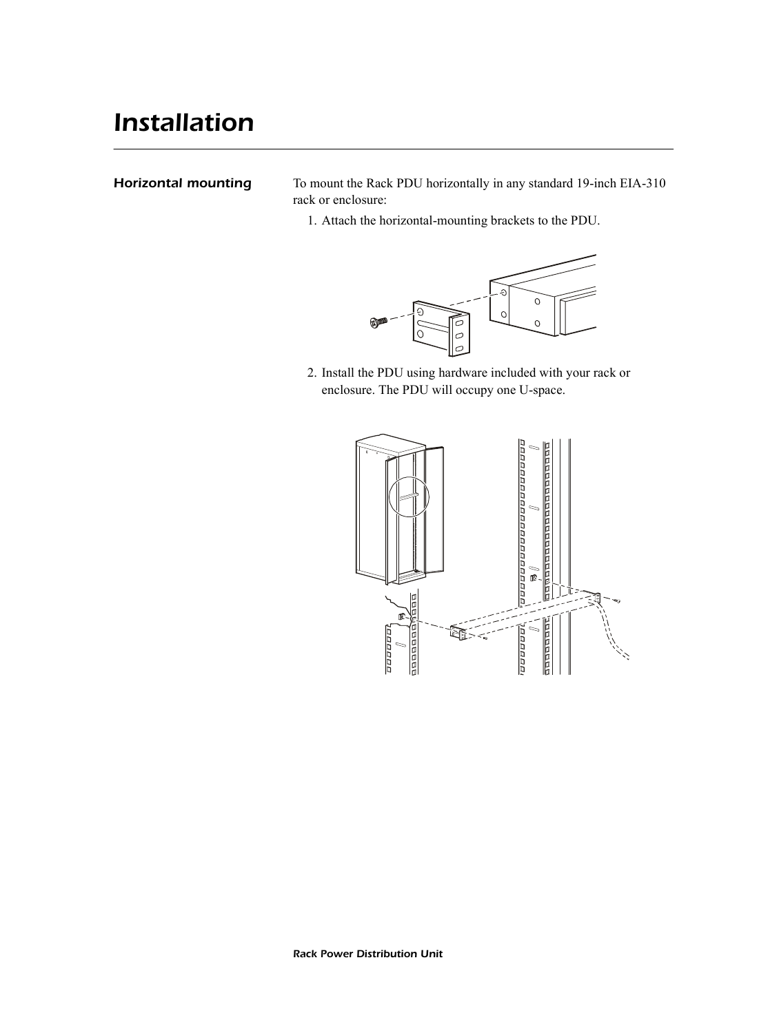### *Installation*

**Horizontal mounting** To mount the Rack PDU horizontally in any standard 19-inch EIA-310 rack or enclosure:

1. Attach the horizontal-mounting brackets to the PDU.



2. Install the PDU using hardware included with your rack or enclosure. The PDU will occupy one U-space.

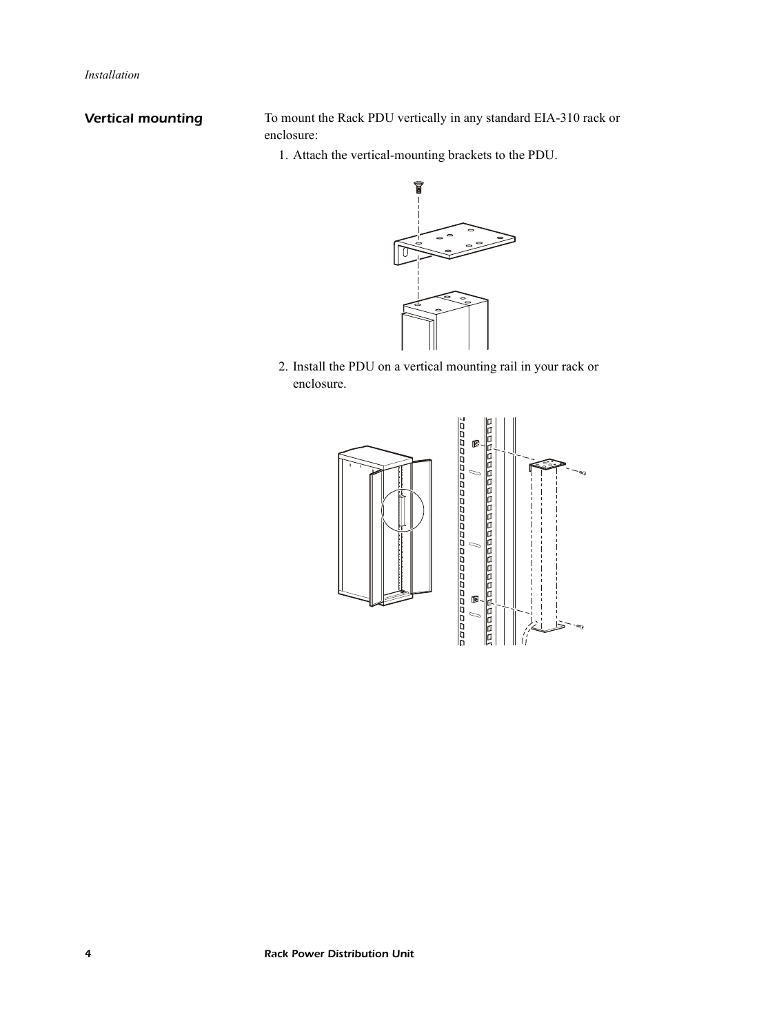**Vertical mounting** To mount the Rack PDU vertically in any standard EIA-310 rack or enclosure:

1. Attach the vertical-mounting brackets to the PDU.



2. Install the PDU on a vertical mounting rail in your rack or enclosure.